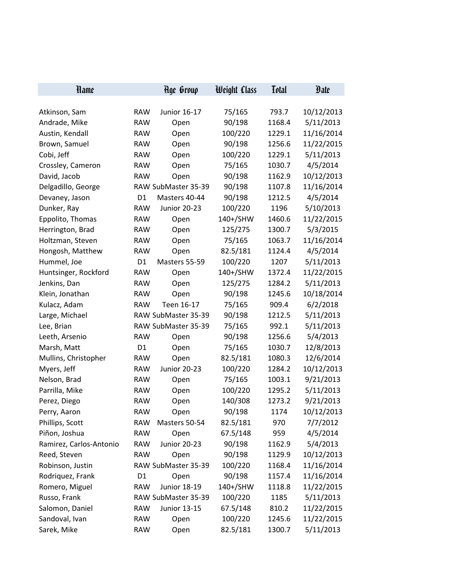| Hame                    |                | Hqe Group           | Weight Class | <b>Total</b> | Date       |
|-------------------------|----------------|---------------------|--------------|--------------|------------|
|                         |                |                     |              |              |            |
| Atkinson, Sam           | <b>RAW</b>     | Junior 16-17        | 75/165       | 793.7        | 10/12/2013 |
| Andrade, Mike           | <b>RAW</b>     | Open                | 90/198       | 1168.4       | 5/11/2013  |
| Austin, Kendall         | <b>RAW</b>     | Open                | 100/220      | 1229.1       | 11/16/2014 |
| Brown, Samuel           | <b>RAW</b>     | Open                | 90/198       | 1256.6       | 11/22/2015 |
| Cobi, Jeff              | <b>RAW</b>     | Open                | 100/220      | 1229.1       | 5/11/2013  |
| Crossley, Cameron       | <b>RAW</b>     | Open                | 75/165       | 1030.7       | 4/5/2014   |
| David, Jacob            | <b>RAW</b>     | Open                | 90/198       | 1162.9       | 10/12/2013 |
| Delgadillo, George      |                | RAW SubMaster 35-39 | 90/198       | 1107.8       | 11/16/2014 |
| Devaney, Jason          | D <sub>1</sub> | Masters 40-44       | 90/198       | 1212.5       | 4/5/2014   |
| Dunker, Ray             | <b>RAW</b>     | <b>Junior 20-23</b> | 100/220      | 1196         | 5/10/2013  |
| Eppolito, Thomas        | <b>RAW</b>     | Open                | 140+/SHW     | 1460.6       | 11/22/2015 |
| Herrington, Brad        | <b>RAW</b>     | Open                | 125/275      | 1300.7       | 5/3/2015   |
| Holtzman, Steven        | <b>RAW</b>     | Open                | 75/165       | 1063.7       | 11/16/2014 |
| Hongosh, Matthew        | <b>RAW</b>     | Open                | 82.5/181     | 1124.4       | 4/5/2014   |
| Hummel, Joe             | D <sub>1</sub> | Masters 55-59       | 100/220      | 1207         | 5/11/2013  |
| Huntsinger, Rockford    | <b>RAW</b>     | Open                | 140+/SHW     | 1372.4       | 11/22/2015 |
| Jenkins, Dan            | <b>RAW</b>     | Open                | 125/275      | 1284.2       | 5/11/2013  |
| Klein, Jonathan         | <b>RAW</b>     | Open                | 90/198       | 1245.6       | 10/18/2014 |
| Kulacz, Adam            | <b>RAW</b>     | Teen 16-17          | 75/165       | 909.4        | 6/2/2018   |
| Large, Michael          |                | RAW SubMaster 35-39 | 90/198       | 1212.5       | 5/11/2013  |
| Lee, Brian              |                | RAW SubMaster 35-39 | 75/165       | 992.1        | 5/11/2013  |
| Leeth, Arsenio          | <b>RAW</b>     | Open                | 90/198       | 1256.6       | 5/4/2013   |
| Marsh, Matt             | D <sub>1</sub> | Open                | 75/165       | 1030.7       | 12/8/2013  |
| Mullins, Christopher    | <b>RAW</b>     | Open                | 82.5/181     | 1080.3       | 12/6/2014  |
| Myers, Jeff             | <b>RAW</b>     | Junior 20-23        | 100/220      | 1284.2       | 10/12/2013 |
| Nelson, Brad            | <b>RAW</b>     | Open                | 75/165       | 1003.1       | 9/21/2013  |
| Parrilla, Mike          | <b>RAW</b>     | Open                | 100/220      | 1295.2       | 5/11/2013  |
| Perez, Diego            | <b>RAW</b>     | Open                | 140/308      | 1273.2       | 9/21/2013  |
| Perry, Aaron            | <b>RAW</b>     | Open                | 90/198       | 1174         | 10/12/2013 |
| Phillips, Scott         | <b>RAW</b>     | Masters 50-54       | 82.5/181     | 970          | 7/7/2012   |
| Piñon, Joshua           | <b>RAW</b>     | Open                | 67.5/148     | 959          | 4/5/2014   |
| Ramirez, Carlos-Antonio | RAW            | Junior 20-23        | 90/198       | 1162.9       | 5/4/2013   |
| Reed, Steven            | <b>RAW</b>     | Open                | 90/198       | 1129.9       | 10/12/2013 |
| Robinson, Justin        |                | RAW SubMaster 35-39 | 100/220      | 1168.4       | 11/16/2014 |
| Rodriquez, Frank        | D1             | Open                | 90/198       | 1157.4       | 11/16/2014 |
| Romero, Miguel          | <b>RAW</b>     | <b>Junior 18-19</b> | 140+/SHW     | 1118.8       | 11/22/2015 |
| Russo, Frank            |                | RAW SubMaster 35-39 | 100/220      | 1185         | 5/11/2013  |
| Salomon, Daniel         | <b>RAW</b>     | <b>Junior 13-15</b> | 67.5/148     | 810.2        | 11/22/2015 |
| Sandoval, Ivan          | <b>RAW</b>     | Open                | 100/220      | 1245.6       | 11/22/2015 |
| Sarek, Mike             | <b>RAW</b>     | Open                | 82.5/181     | 1300.7       | 5/11/2013  |